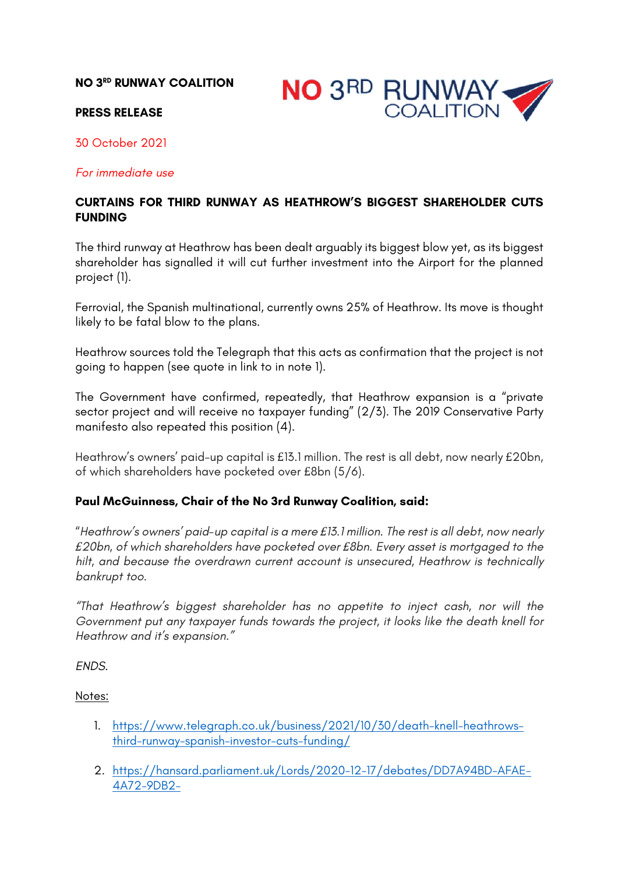# **NO 3RD RUNWAY COALITION**



### **PRESS RELEASE**

30 October 2021

#### *For immediate use*

# **CURTAINS FOR THIRD RUNWAY AS HEATHROW'S BIGGEST SHAREHOLDER CUTS FUNDING**

The third runway at Heathrow has been dealt arguably its biggest blow yet, as its biggest shareholder has signalled it will cut further investment into the Airport for the planned project (1).

Ferrovial, the Spanish multinational, currently owns 25% of Heathrow. Its move is thought likely to be fatal blow to the plans.

Heathrow sources told the Telegraph that this acts as confirmation that the project is not going to happen (see quote in link to in note 1).

The Government have confirmed, repeatedly, that Heathrow expansion is a "private sector project and will receive no taxpayer funding" (2/3). The 2019 Conservative Party manifesto also repeated this position (4).

Heathrow's owners' paid-up capital is £13.1 million. The rest is all debt, now nearly £20bn, of which shareholders have pocketed over £8bn (5/6).

### **Paul McGuinness, Chair of the No 3rd Runway Coalition, said:**

"*Heathrow's owners' paid-up capital is a mere £13.1 million. The rest is all debt, now nearly £20bn, of which shareholders have pocketed over £8bn. Every asset is mortgaged to the hilt, and because the overdrawn current account is unsecured, Heathrow is technically bankrupt too.*

*"That Heathrow's biggest shareholder has no appetite to inject cash, nor will the Government put any taxpayer funds towards the project, it looks like the death knell for Heathrow and it's expansion."*

*ENDS.*

#### Notes:

- 1. https://www.telegraph.co.uk/business/2021/10/30/death-knell-heathrowsthird-runway-spanish-investor-cuts-funding/
- 2. https://hansard.parliament.uk/Lords/2020-12-17/debates/DD7A94BD-AFAE-4A72-9DB2-